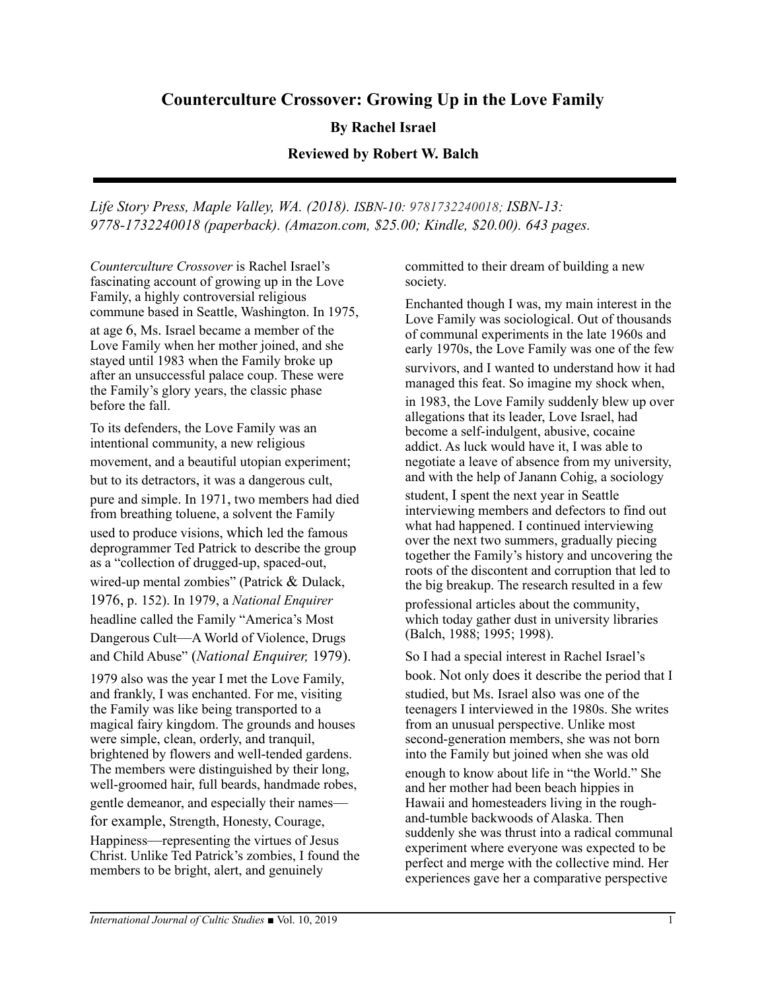# **Counterculture Crossover: Growing Up in the Love Family**

## **By Rachel Israel**

#### **Reviewed by Robert W. Balch**

*Life Story Press, Maple Valley, WA. (2018). ISBN-10: 9781732240018; ISBN-13: 9778-1732240018 (paperback). (Amazon.com, \$25.00; Kindle, \$20.00). 643 pages.*

*Counterculture Crossover* is Rachel Israel's fascinating account of growing up in the Love Family, a highly controversial religious commune based in Seattle, Washington. In 1975, at age 6, Ms. Israel became a member of the

Love Family when her mother joined, and she stayed until 1983 when the Family broke up after an unsuccessful palace coup. These were the Family's glory years, the classic phase before the fall.

To its defenders, the Love Family was an intentional community, a new religious movement, and a beautiful utopian experiment; but to its detractors, it was a dangerous cult, pure and simple. In 1971, two members had died from breathing toluene, a solvent the Family used to produce visions, which led the famous deprogrammer Ted Patrick to describe the group as a "collection of drugged-up, spaced-out, wired-up mental zombies" (Patrick & Dulack, 1976, p. 152). In 1979, a *National Enquirer* headline called the Family "America's Most Dangerous Cult—A World of Violence, Drugs and Child Abuse" (*National Enquirer,* 1979).

1979 also was the year I met the Love Family, and frankly, I was enchanted. For me, visiting the Family was like being transported to a magical fairy kingdom. The grounds and houses were simple, clean, orderly, and tranquil, brightened by flowers and well-tended gardens. The members were distinguished by their long, well-groomed hair, full beards, handmade robes, gentle demeanor, and especially their names for example, Strength, Honesty, Courage, Happiness—representing the virtues of Jesus Christ. Unlike Ted Patrick's zombies, I found the members to be bright, alert, and genuinely

committed to their dream of building a new society.

Enchanted though I was, my main interest in the Love Family was sociological. Out of thousands of communal experiments in the late 1960s and early 1970s, the Love Family was one of the few survivors, and I wanted to understand how it had managed this feat. So imagine my shock when,

in 1983, the Love Family suddenly blew up over allegations that its leader, Love Israel, had become a self-indulgent, abusive, cocaine addict. As luck would have it, I was able to negotiate a leave of absence from my university, and with the help of Janann Cohig, a sociology

student, I spent the next year in Seattle interviewing members and defectors to find out what had happened. I continued interviewing over the next two summers, gradually piecing together the Family's history and uncovering the roots of the discontent and corruption that led to the big breakup. The research resulted in a few professional articles about the community, which today gather dust in university libraries (Balch, 1988; 1995; 1998).

So I had a special interest in Rachel Israel's book. Not only does it describe the period that I studied, but Ms. Israel also was one of the teenagers I interviewed in the 1980s. She writes from an unusual perspective. Unlike most second-generation members, she was not born into the Family but joined when she was old enough to know about life in "the World." She and her mother had been beach hippies in Hawaii and homesteaders living in the roughand-tumble backwoods of Alaska. Then suddenly she was thrust into a radical communal experiment where everyone was expected to be perfect and merge with the collective mind. Her experiences gave her a comparative perspective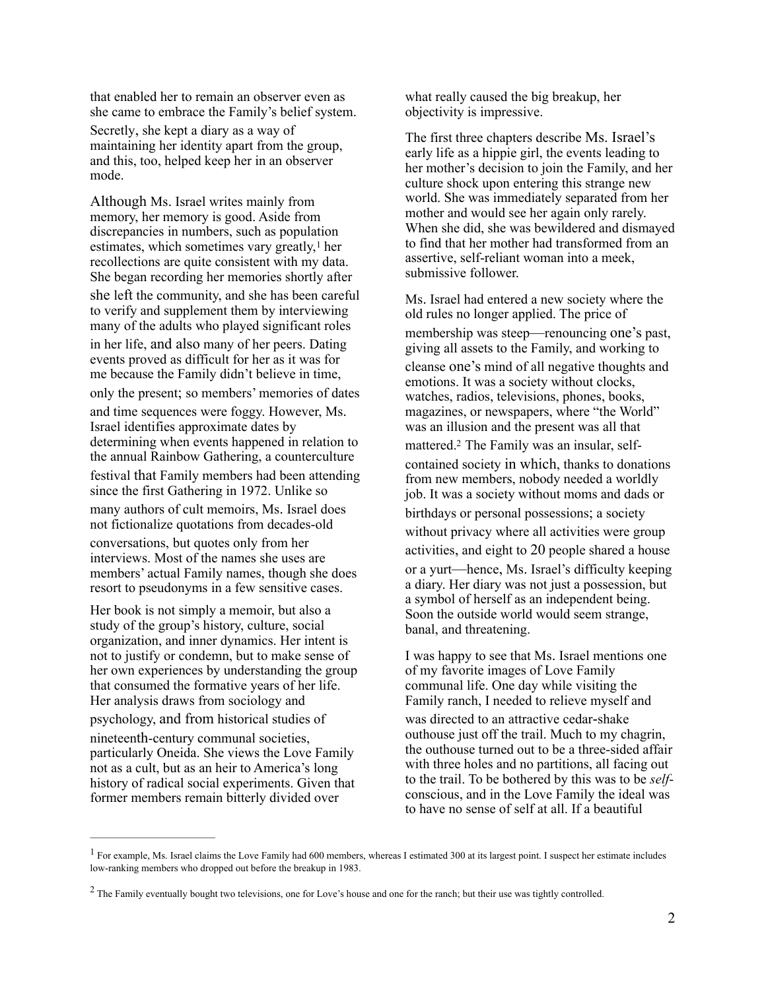that enabled her to remain an observer even as she came to embrace the Family's belief system.

Secretly, she kept a diary as a way of maintaining her identity apart from the group, and this, too, helped keep her in an observer mode.

Although Ms. Israel writes mainly from memory, her memory is good. Aside from discrepancies in numbers, such as population estimates, which sometimes vary greatly, $<sup>1</sup>$  $<sup>1</sup>$  $<sup>1</sup>$  her</sup> recollections are quite consistent with my data. She began recording her memories shortly after she left the community, and she has been careful to verify and supplement them by interviewing many of the adults who played significant roles in her life, and also many of her peers. Dating events proved as difficult for her as it was for me because the Family didn't believe in time, only the present; so members' memories of dates and time sequences were foggy. However, Ms. Israel identifies approximate dates by determining when events happened in relation to the annual Rainbow Gathering, a counterculture festival that Family members had been attending since the first Gathering in 1972. Unlike so many authors of cult memoirs, Ms. Israel does not fictionalize quotations from decades-old conversations, but quotes only from her interviews. Most of the names she uses are members' actual Family names, though she does resort to pseudonyms in a few sensitive cases.

Her book is not simply a memoir, but also a study of the group's history, culture, social organization, and inner dynamics. Her intent is not to justify or condemn, but to make sense of her own experiences by understanding the group that consumed the formative years of her life. Her analysis draws from sociology and psychology, and from historical studies of nineteenth-century communal societies, particularly Oneida. She views the Love Family not as a cult, but as an heir to America's long history of radical social experiments. Given that former members remain bitterly divided over

what really caused the big breakup, her objectivity is impressive.

The first three chapters describe Ms. Israel's early life as a hippie girl, the events leading to her mother's decision to join the Family, and her culture shock upon entering this strange new world. She was immediately separated from her mother and would see her again only rarely. When she did, she was bewildered and dismayed to find that her mother had transformed from an assertive, self-reliant woman into a meek, submissive follower.

<span id="page-1-3"></span><span id="page-1-2"></span>Ms. Israel had entered a new society where the old rules no longer applied. The price of membership was steep—renouncing one's past, giving all assets to the Family, and working to cleanse one's mind of all negative thoughts and emotions. It was a society without clocks, watches, radios, televisions, phones, books, magazines, or newspapers, where "the World" was an illusion and the present was all that mattered.<sup>[2](#page-1-1)</sup> The Family was an insular, selfcontained society in which, thanks to donations from new members, nobody needed a worldly job. It was a society without moms and dads or birthdays or personal possessions; a society without privacy where all activities were group activities, and eight to 20 people shared a house or a yurt—hence, Ms. Israel's difficulty keeping a diary. Her diary was not just a possession, but a symbol of herself as an independent being. Soon the outside world would seem strange, banal, and threatening.

I was happy to see that Ms. Israel mentions one of my favorite images of Love Family communal life. One day while visiting the Family ranch, I needed to relieve myself and was directed to an attractive cedar-shake outhouse just off the trail. Much to my chagrin, the outhouse turned out to be a three-sided affair with three holes and no partitions, all facing out to the trail. To be bothered by this was to be *self*conscious, and in the Love Family the ideal was to have no sense of self at all. If a beautiful

<span id="page-1-0"></span> $<sup>1</sup>$  $<sup>1</sup>$  $<sup>1</sup>$ For example, Ms. Israel claims the Love Family had 600 members, whereas I estimated 300 at its largest point. I suspect her estimate includes</sup> low-ranking members who dropped out before the breakup in 1983.

<span id="page-1-1"></span><sup>&</sup>lt;sup>[2](#page-1-3)</sup> The Family eventually bought two televisions, one for Love's house and one for the ranch; but their use was tightly controlled.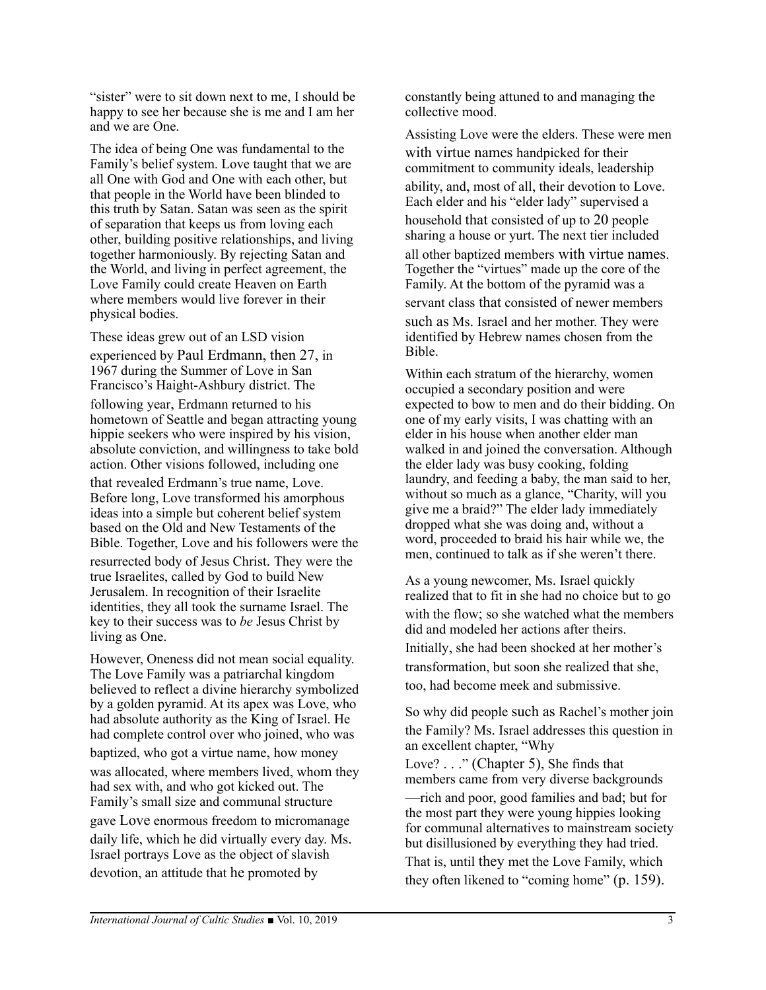"sister" were to sit down next to me, I should be happy to see her because she is me and I am her and we are One.

The idea of being One was fundamental to the Family's belief system. Love taught that we are all One with God and One with each other, but that people in the World have been blinded to this truth by Satan. Satan was seen as the spirit of separation that keeps us from loving each other, building positive relationships, and living together harmoniously. By rejecting Satan and the World, and living in perfect agreement, the Love Family could create Heaven on Earth where members would live forever in their physical bodies.

These ideas grew out of an LSD vision experienced by Paul Erdmann, then 27, in 1967 during the Summer of Love in San Francisco's Haight-Ashbury district. The following year, Erdmann returned to his hometown of Seattle and began attracting young hippie seekers who were inspired by his vision, absolute conviction, and willingness to take bold action. Other visions followed, including one that revealed Erdmann's true name, Love. Before long, Love transformed his amorphous ideas into a simple but coherent belief system based on the Old and New Testaments of the Bible. Together, Love and his followers were the resurrected body of Jesus Christ. They were the true Israelites, called by God to build New Jerusalem. In recognition of their Israelite identities, they all took the surname Israel. The key to their success was to *be* Jesus Christ by living as One.

However, Oneness did not mean social equality. The Love Family was a patriarchal kingdom believed to reflect a divine hierarchy symbolized by a golden pyramid. At its apex was Love, who had absolute authority as the King of Israel. He had complete control over who joined, who was baptized, who got a virtue name, how money was allocated, where members lived, whom they had sex with, and who got kicked out. The Family's small size and communal structure gave Love enormous freedom to micromanage daily life, which he did virtually every day. Ms. Israel portrays Love as the object of slavish devotion, an attitude that he promoted by

constantly being attuned to and managing the collective mood.

Assisting Love were the elders. These were men with virtue names handpicked for their commitment to community ideals, leadership ability, and, most of all, their devotion to Love. Each elder and his "elder lady" supervised a household that consisted of up to 20 people sharing a house or yurt. The next tier included all other baptized members with virtue names. Together the "virtues" made up the core of the Family. At the bottom of the pyramid was a servant class that consisted of newer members such as Ms. Israel and her mother. They were identified by Hebrew names chosen from the Bible.

Within each stratum of the hierarchy, women occupied a secondary position and were expected to bow to men and do their bidding. On one of my early visits, I was chatting with an elder in his house when another elder man walked in and joined the conversation. Although the elder lady was busy cooking, folding laundry, and feeding a baby, the man said to her, without so much as a glance, "Charity, will you give me a braid?" The elder lady immediately dropped what she was doing and, without a word, proceeded to braid his hair while we, the men, continued to talk as if she weren't there.

As a young newcomer, Ms. Israel quickly realized that to fit in she had no choice but to go with the flow; so she watched what the members did and modeled her actions after theirs. Initially, she had been shocked at her mother's transformation, but soon she realized that she, too, had become meek and submissive.

So why did people such as Rachel's mother join the Family? Ms. Israel addresses this question in an excellent chapter, "Why Love? . . ." (Chapter 5), She finds that members came from very diverse backgrounds —rich and poor, good families and bad; but for the most part they were young hippies looking for communal alternatives to mainstream society but disillusioned by everything they had tried. That is, until they met the Love Family, which they often likened to "coming home" (p. 159).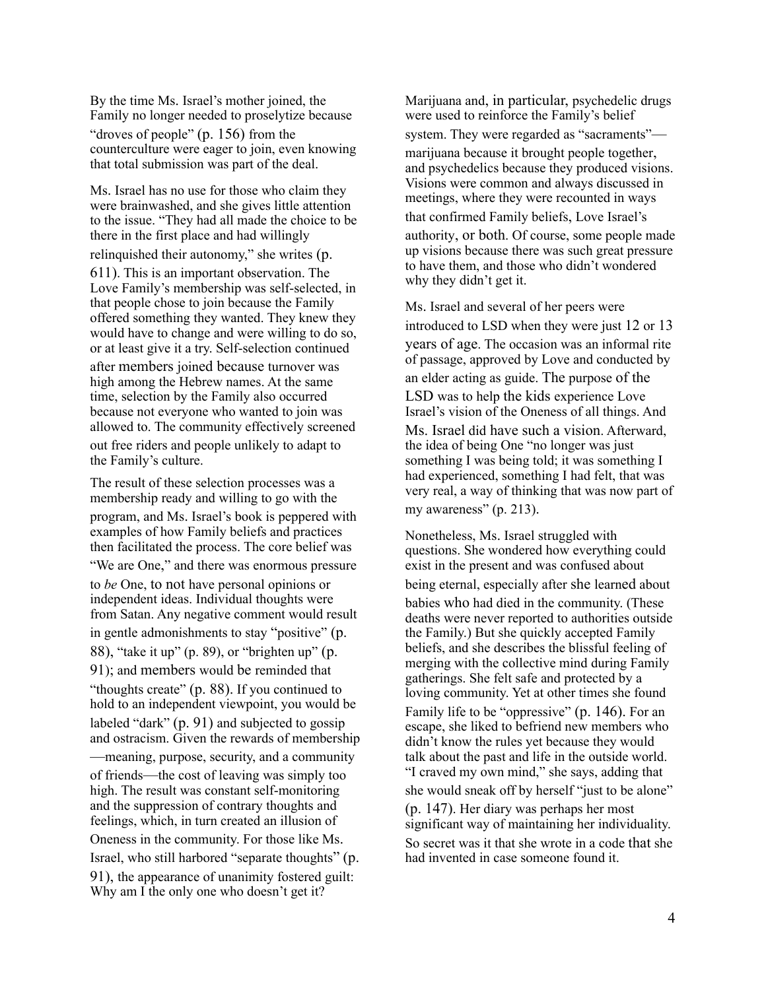By the time Ms. Israel's mother joined, the Family no longer needed to proselytize because "droves of people" (p. 156) from the counterculture were eager to join, even knowing that total submission was part of the deal.

Ms. Israel has no use for those who claim they were brainwashed, and she gives little attention to the issue. "They had all made the choice to be there in the first place and had willingly relinquished their autonomy," she writes (p. 611). This is an important observation. The Love Family's membership was self-selected, in that people chose to join because the Family offered something they wanted. They knew they would have to change and were willing to do so, or at least give it a try. Self-selection continued after members joined because turnover was high among the Hebrew names. At the same time, selection by the Family also occurred because not everyone who wanted to join was allowed to. The community effectively screened out free riders and people unlikely to adapt to the Family's culture.

The result of these selection processes was a membership ready and willing to go with the program, and Ms. Israel's book is peppered with examples of how Family beliefs and practices then facilitated the process. The core belief was "We are One," and there was enormous pressure to *be* One, to not have personal opinions or independent ideas. Individual thoughts were from Satan. Any negative comment would result in gentle admonishments to stay "positive" (p. 88), "take it up" (p. 89), or "brighten up" (p. 91); and members would be reminded that "thoughts create" (p. 88). If you continued to hold to an independent viewpoint, you would be labeled "dark" (p. 91) and subjected to gossip and ostracism. Given the rewards of membership —meaning, purpose, security, and a community of friends—the cost of leaving was simply too high. The result was constant self-monitoring and the suppression of contrary thoughts and feelings, which, in turn created an illusion of Oneness in the community. For those like Ms. Israel, who still harbored "separate thoughts" (p. 91), the appearance of unanimity fostered guilt: Why am I the only one who doesn't get it?

Marijuana and, in particular, psychedelic drugs were used to reinforce the Family's belief system. They were regarded as "sacraments" marijuana because it brought people together, and psychedelics because they produced visions. Visions were common and always discussed in meetings, where they were recounted in ways that confirmed Family beliefs, Love Israel's authority, or both. Of course, some people made up visions because there was such great pressure to have them, and those who didn't wondered why they didn't get it.

Ms. Israel and several of her peers were introduced to LSD when they were just 12 or 13 years of age. The occasion was an informal rite of passage, approved by Love and conducted by an elder acting as guide. The purpose of the LSD was to help the kids experience Love Israel's vision of the Oneness of all things. And Ms. Israel did have such a vision. Afterward, the idea of being One "no longer was just something I was being told; it was something I had experienced, something I had felt, that was very real, a way of thinking that was now part of my awareness" (p. 213).

Nonetheless, Ms. Israel struggled with questions. She wondered how everything could exist in the present and was confused about being eternal, especially after she learned about babies who had died in the community. (These deaths were never reported to authorities outside the Family.) But she quickly accepted Family beliefs, and she describes the blissful feeling of merging with the collective mind during Family gatherings. She felt safe and protected by a loving community. Yet at other times she found Family life to be "oppressive" (p. 146). For an escape, she liked to befriend new members who didn't know the rules yet because they would talk about the past and life in the outside world. "I craved my own mind," she says, adding that she would sneak off by herself "just to be alone" (p. 147). Her diary was perhaps her most significant way of maintaining her individuality. So secret was it that she wrote in a code that she had invented in case someone found it.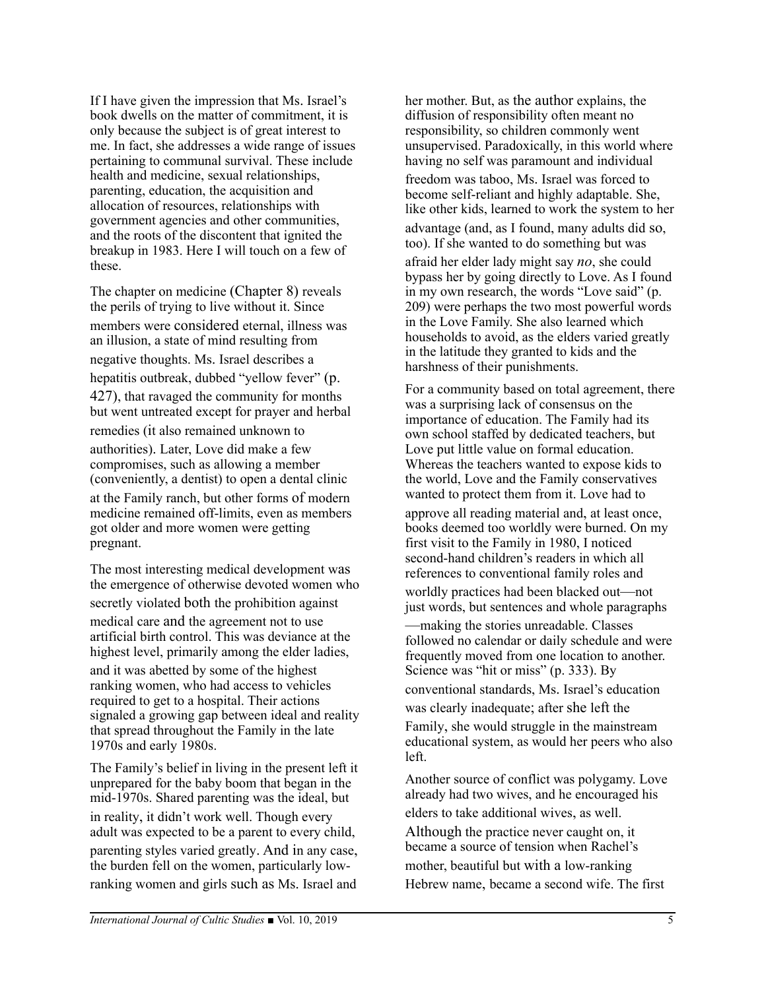If I have given the impression that Ms. Israel's book dwells on the matter of commitment, it is only because the subject is of great interest to me. In fact, she addresses a wide range of issues pertaining to communal survival. These include health and medicine, sexual relationships, parenting, education, the acquisition and allocation of resources, relationships with government agencies and other communities, and the roots of the discontent that ignited the breakup in 1983. Here I will touch on a few of these.

The chapter on medicine (Chapter 8) reveals the perils of trying to live without it. Since members were considered eternal, illness was an illusion, a state of mind resulting from negative thoughts. Ms. Israel describes a hepatitis outbreak, dubbed "yellow fever" (p. 427), that ravaged the community for months but went untreated except for prayer and herbal remedies (it also remained unknown to authorities). Later, Love did make a few compromises, such as allowing a member (conveniently, a dentist) to open a dental clinic at the Family ranch, but other forms of modern medicine remained off-limits, even as members got older and more women were getting pregnant.

The most interesting medical development was the emergence of otherwise devoted women who secretly violated both the prohibition against medical care and the agreement not to use artificial birth control. This was deviance at the highest level, primarily among the elder ladies, and it was abetted by some of the highest ranking women, who had access to vehicles required to get to a hospital. Their actions signaled a growing gap between ideal and reality that spread throughout the Family in the late 1970s and early 1980s.

The Family's belief in living in the present left it unprepared for the baby boom that began in the mid-1970s. Shared parenting was the ideal, but in reality, it didn't work well. Though every adult was expected to be a parent to every child, parenting styles varied greatly. And in any case, the burden fell on the women, particularly lowranking women and girls such as Ms. Israel and

her mother. But, as the author explains, the diffusion of responsibility often meant no responsibility, so children commonly went unsupervised. Paradoxically, in this world where having no self was paramount and individual

freedom was taboo, Ms. Israel was forced to become self-reliant and highly adaptable. She, like other kids, learned to work the system to her advantage (and, as I found, many adults did so, too). If she wanted to do something but was

afraid her elder lady might say *no*, she could bypass her by going directly to Love. As I found in my own research, the words "Love said" (p. 209) were perhaps the two most powerful words in the Love Family. She also learned which households to avoid, as the elders varied greatly in the latitude they granted to kids and the harshness of their punishments.

For a community based on total agreement, there was a surprising lack of consensus on the importance of education. The Family had its own school staffed by dedicated teachers, but Love put little value on formal education. Whereas the teachers wanted to expose kids to the world, Love and the Family conservatives wanted to protect them from it. Love had to

approve all reading material and, at least once, books deemed too worldly were burned. On my first visit to the Family in 1980, I noticed second-hand children's readers in which all references to conventional family roles and

worldly practices had been blacked out—not just words, but sentences and whole paragraphs

—making the stories unreadable. Classes followed no calendar or daily schedule and were frequently moved from one location to another. Science was "hit or miss" (p. 333). By conventional standards, Ms. Israel's education was clearly inadequate; after she left the Family, she would struggle in the mainstream educational system, as would her peers who also left.

Another source of conflict was polygamy. Love already had two wives, and he encouraged his elders to take additional wives, as well. Although the practice never caught on, it became a source of tension when Rachel's mother, beautiful but with a low-ranking Hebrew name, became a second wife. The first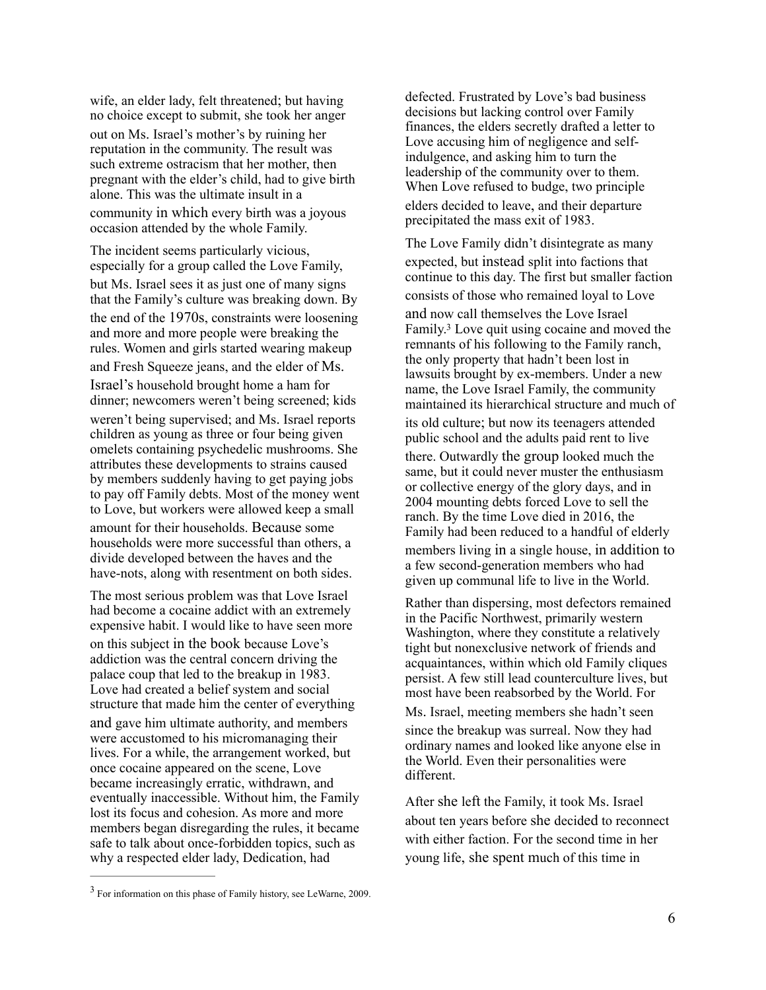wife, an elder lady, felt threatened; but having no choice except to submit, she took her anger out on Ms. Israel's mother's by ruining her reputation in the community. The result was such extreme ostracism that her mother, then pregnant with the elder's child, had to give birth alone. This was the ultimate insult in a community in which every birth was a joyous occasion attended by the whole Family.

The incident seems particularly vicious, especially for a group called the Love Family, but Ms. Israel sees it as just one of many signs that the Family's culture was breaking down. By the end of the 1970s, constraints were loosening and more and more people were breaking the rules. Women and girls started wearing makeup and Fresh Squeeze jeans, and the elder of Ms. Israel's household brought home a ham for dinner; newcomers weren't being screened; kids weren't being supervised; and Ms. Israel reports children as young as three or four being given omelets containing psychedelic mushrooms. She attributes these developments to strains caused by members suddenly having to get paying jobs to pay off Family debts. Most of the money went to Love, but workers were allowed keep a small amount for their households. Because some households were more successful than others, a divide developed between the haves and the have-nots, along with resentment on both sides.

The most serious problem was that Love Israel had become a cocaine addict with an extremely expensive habit. I would like to have seen more on this subject in the book because Love's addiction was the central concern driving the palace coup that led to the breakup in 1983. Love had created a belief system and social structure that made him the center of everything and gave him ultimate authority, and members were accustomed to his micromanaging their lives. For a while, the arrangement worked, but once cocaine appeared on the scene, Love became increasingly erratic, withdrawn, and eventually inaccessible. Without him, the Family lost its focus and cohesion. As more and more members began disregarding the rules, it became safe to talk about once-forbidden topics, such as why a respected elder lady, Dedication, had

defected. Frustrated by Love's bad business decisions but lacking control over Family finances, the elders secretly drafted a letter to Love accusing him of negligence and selfindulgence, and asking him to turn the leadership of the community over to them. When Love refused to budge, two principle elders decided to leave, and their departure precipitated the mass exit of 1983.

<span id="page-5-1"></span>The Love Family didn't disintegrate as many expected, but instead split into factions that continue to this day. The first but smaller faction consists of those who remained loyal to Love and now call themselves the Love Israel Family.<sup>[3](#page-5-0)</sup> Love quit using cocaine and moved the remnants of his following to the Family ranch, the only property that hadn't been lost in lawsuits brought by ex-members. Under a new name, the Love Israel Family, the community maintained its hierarchical structure and much of its old culture; but now its teenagers attended public school and the adults paid rent to live there. Outwardly the group looked much the same, but it could never muster the enthusiasm or collective energy of the glory days, and in 2004 mounting debts forced Love to sell the ranch. By the time Love died in 2016, the Family had been reduced to a handful of elderly members living in a single house, in addition to a few second-generation members who had given up communal life to live in the World.

Rather than dispersing, most defectors remained in the Pacific Northwest, primarily western Washington, where they constitute a relatively tight but nonexclusive network of friends and acquaintances, within which old Family cliques persist. A few still lead counterculture lives, but most have been reabsorbed by the World. For

Ms. Israel, meeting members she hadn't seen since the breakup was surreal. Now they had ordinary names and looked like anyone else in the World. Even their personalities were different.

After she left the Family, it took Ms. Israel about ten years before she decided to reconnect with either faction. For the second time in her young life, she spent much of this time in

<span id="page-5-0"></span> $3$  For information on this phase of Family history, see LeWarne, 2009.